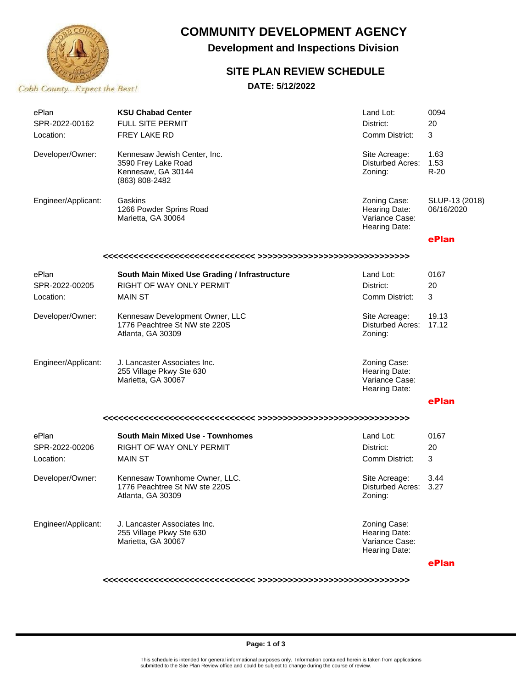

# **COMMUNITY DEVELOPMENT AGENCY**

**Development and Inspections Division**

## **SITE PLAN REVIEW SCHEDULE**

**DATE: 5/12/2022**

| ePlan               | <b>KSU Chabad Center</b>                                                                    | Land Lot:                                                        | 0094                         |  |  |  |  |
|---------------------|---------------------------------------------------------------------------------------------|------------------------------------------------------------------|------------------------------|--|--|--|--|
| SPR-2022-00162      | <b>FULL SITE PERMIT</b>                                                                     | District:                                                        | 20                           |  |  |  |  |
| Location:           | <b>FREY LAKE RD</b>                                                                         | Comm District:                                                   | 3                            |  |  |  |  |
| Developer/Owner:    | Kennesaw Jewish Center, Inc.<br>3590 Frey Lake Road<br>Kennesaw, GA 30144<br>(863) 808-2482 | Site Acreage:<br>Disturbed Acres:<br>Zoning:                     | 1.63<br>1.53<br>$R-20$       |  |  |  |  |
| Engineer/Applicant: | Gaskins<br>1266 Powder Sprins Road<br>Marietta, GA 30064                                    | Zoning Case:<br>Hearing Date:<br>Variance Case:<br>Hearing Date: | SLUP-13 (2018)<br>06/16/2020 |  |  |  |  |
|                     |                                                                                             |                                                                  | ePlan                        |  |  |  |  |
|                     |                                                                                             |                                                                  |                              |  |  |  |  |
| ePlan               | South Main Mixed Use Grading / Infrastructure                                               | Land Lot:                                                        | 0167                         |  |  |  |  |
| SPR-2022-00205      | <b>RIGHT OF WAY ONLY PERMIT</b>                                                             | District:                                                        | 20                           |  |  |  |  |
| Location:           | <b>MAIN ST</b>                                                                              | Comm District:                                                   | 3                            |  |  |  |  |
| Developer/Owner:    | Kennesaw Development Owner, LLC<br>1776 Peachtree St NW ste 220S<br>Atlanta, GA 30309       | Site Acreage:<br>Disturbed Acres:<br>Zoning:                     | 19.13<br>17.12               |  |  |  |  |
| Engineer/Applicant: | J. Lancaster Associates Inc.<br>255 Village Pkwy Ste 630<br>Marietta, GA 30067              | Zoning Case:<br>Hearing Date:<br>Variance Case:<br>Hearing Date: |                              |  |  |  |  |
|                     |                                                                                             |                                                                  | ePlan                        |  |  |  |  |
|                     |                                                                                             |                                                                  |                              |  |  |  |  |
| ePlan               | <b>South Main Mixed Use - Townhomes</b>                                                     | Land Lot:                                                        | 0167                         |  |  |  |  |
| SPR-2022-00206      | RIGHT OF WAY ONLY PERMIT                                                                    | District:                                                        | 20                           |  |  |  |  |
| Location:           | <b>MAIN ST</b>                                                                              | Comm District:                                                   | 3                            |  |  |  |  |
| Developer/Owner:    | Kennesaw Townhome Owner, LLC.<br>1776 Peachtree St NW ste 220S<br>Atlanta, GA 30309         | Site Acreage:<br>Disturbed Acres: 3.27<br>Zoning:                | 3.44                         |  |  |  |  |
| Engineer/Applicant: | J. Lancaster Associates Inc.<br>255 Village Pkwy Ste 630<br>Marietta, GA 30067              | Zoning Case:<br>Hearing Date:<br>Variance Case:<br>Hearing Date: |                              |  |  |  |  |
|                     |                                                                                             |                                                                  | ePlan                        |  |  |  |  |

**<<<<<<<<<<<<<<<<<<<<<<<<<<<<<< >>>>>>>>>>>>>>>>>>>>>>>>>>>>>>**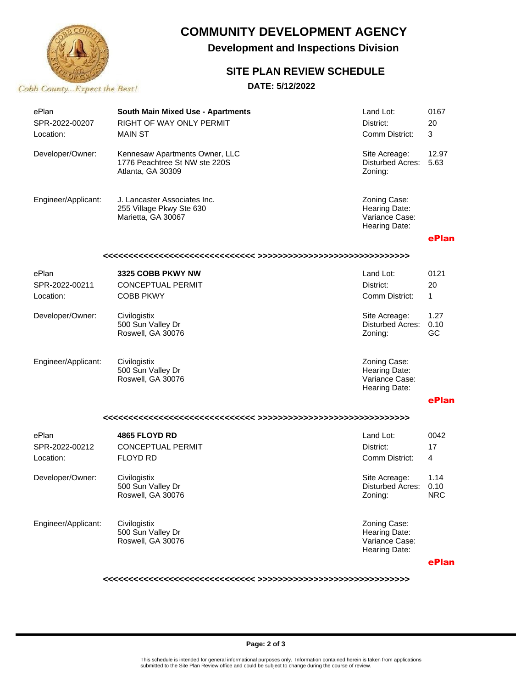

# **COMMUNITY DEVELOPMENT AGENCY**

**Development and Inspections Division**

## **SITE PLAN REVIEW SCHEDULE**

**DATE: 5/12/2022**

| ePlan<br>SPR-2022-00207<br>Location: | <b>South Main Mixed Use - Apartments</b><br>RIGHT OF WAY ONLY PERMIT<br><b>MAIN ST</b> | Land Lot:<br>District:<br>Comm District:                         | 0167<br>20<br>3            |  |  |  |
|--------------------------------------|----------------------------------------------------------------------------------------|------------------------------------------------------------------|----------------------------|--|--|--|
| Developer/Owner:                     | Kennesaw Apartments Owner, LLC<br>1776 Peachtree St NW ste 220S<br>Atlanta, GA 30309   | Site Acreage:<br><b>Disturbed Acres:</b><br>Zoning:              | 12.97<br>5.63              |  |  |  |
| Engineer/Applicant:                  | J. Lancaster Associates Inc.<br>255 Village Pkwy Ste 630<br>Marietta, GA 30067         | Zoning Case:<br>Hearing Date:<br>Variance Case:<br>Hearing Date: |                            |  |  |  |
|                                      |                                                                                        |                                                                  | ePlan                      |  |  |  |
|                                      |                                                                                        |                                                                  |                            |  |  |  |
| ePlan                                | 3325 COBB PKWY NW                                                                      | Land Lot:                                                        | 0121                       |  |  |  |
| SPR-2022-00211                       | <b>CONCEPTUAL PERMIT</b>                                                               | District:                                                        | 20                         |  |  |  |
| Location:                            | <b>COBB PKWY</b>                                                                       | Comm District:                                                   | 1.                         |  |  |  |
| Developer/Owner:                     | Civilogistix<br>500 Sun Valley Dr<br>Roswell, GA 30076                                 | Site Acreage:<br>Disturbed Acres:<br>Zoning:                     | 1.27<br>0.10<br>GC         |  |  |  |
| Engineer/Applicant:                  | Civilogistix<br>500 Sun Valley Dr<br>Roswell, GA 30076                                 | Zoning Case:<br>Hearing Date:<br>Variance Case:<br>Hearing Date: |                            |  |  |  |
|                                      |                                                                                        |                                                                  | ePlan                      |  |  |  |
|                                      |                                                                                        |                                                                  |                            |  |  |  |
| ePlan                                | 4865 FLOYD RD                                                                          | Land Lot:                                                        | 0042                       |  |  |  |
| SPR-2022-00212                       | <b>CONCEPTUAL PERMIT</b>                                                               | District:                                                        | 17                         |  |  |  |
| Location:                            | <b>FLOYD RD</b>                                                                        | Comm District:                                                   | 4                          |  |  |  |
| Developer/Owner:                     | Civilogistix<br>500 Sun Valley Dr<br>Roswell, GA 30076                                 | Site Acreage:<br>Disturbed Acres:<br>Zoning:                     | 1.14<br>0.10<br><b>NRC</b> |  |  |  |
| Engineer/Applicant:                  | Civilogistix<br>500 Sun Valley Dr<br>Roswell, GA 30076                                 | Zoning Case:<br>Hearing Date:<br>Variance Case:<br>Hearing Date: |                            |  |  |  |

**ePlan**

**<<<<<<<<<<<<<<<<<<<<<<<<<<<<<< >>>>>>>>>>>>>>>>>>>>>>>>>>>>>>**

#### **Page: 2 of 3**